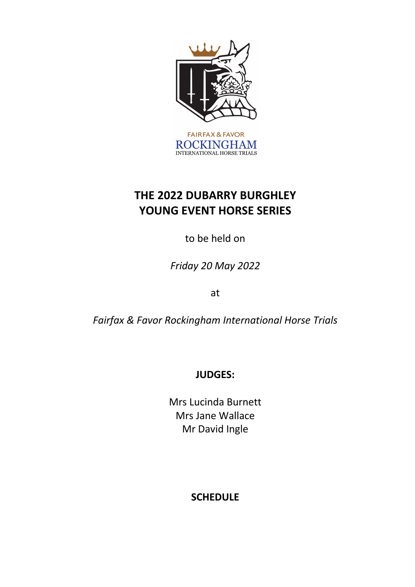

# **THE 2022 DUBARRY BURGHLEY YOUNG EVENT HORSE SERIES**

to be held on

*Friday 20 May 2022*

at

*Fairfax & Favor Rockingham International Horse Trials* 

**JUDGES:**

Mrs Lucinda Burnett Mrs Jane Wallace Mr David Ingle

# **SCHEDULE**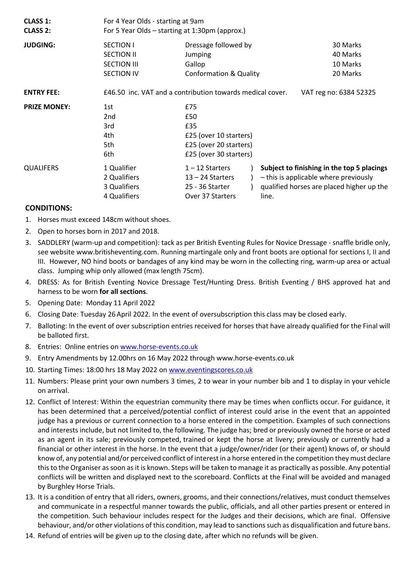| <b>CLASS 1:</b><br><b>CLASS 2:</b> | For 4 Year Olds - starting at 9am<br>For 5 Year Olds – starting at 1:30pm (approx.) |                                                                                                 |                                                                                                                                  |
|------------------------------------|-------------------------------------------------------------------------------------|-------------------------------------------------------------------------------------------------|----------------------------------------------------------------------------------------------------------------------------------|
| <b>JUDGING:</b>                    | <b>SECTION I</b><br><b>SECTION II</b><br><b>SECTION III</b><br><b>SECTION IV</b>    | Dressage followed by<br>Jumping<br>Gallop<br><b>Conformation &amp; Quality</b>                  | 30 Marks<br>40 Marks<br>10 Marks<br>20 Marks                                                                                     |
| <b>ENTRY FEE:</b>                  |                                                                                     | £46.50 inc. VAT and a contribution towards medical cover.                                       | VAT reg no: 6384 52325                                                                                                           |
| <b>PRIZE MONEY:</b>                | 1st<br>2nd<br>3rd<br>4th<br>5th<br>6th                                              | £75<br>£50<br>£35<br>£25 (over 10 starters)<br>£25 (over 20 starters)<br>£25 (over 30 starters) |                                                                                                                                  |
| <b>QUALIFERS</b>                   | 1 Qualifier<br>2 Qualifiers<br>3 Qualifiers<br>4 Qualifiers                         | $1 - 12$ Starters<br>$13 - 24$ Starters<br>25 - 36 Starter<br>Over 37 Starters<br>line.         | Subject to finishing in the top 5 placings<br>- this is applicable where previously<br>qualified horses are placed higher up the |

#### **CONDITIONS:**

- 1. Horses must exceed 148cm without shoes.
- 2. Open to horses born in 2017 and 2018.
- 3. SADDLERY (warm-up and competition): tack as per British Eventing Rules for Novice Dressage snaffle bridle only, see website www.britisheventing.com. Running martingale only and front boots are optional for sections I, II and III. However, NO hind boots or bandages of any kind may be worn in the collecting ring, warm-up area or actual class. Jumping whip only allowed (max length 75cm).
- 4. DRESS: As for British Eventing Novice Dressage Test/Hunting Dress. British Eventing / BHS approved hat and harness to be worn **for all sections**.
- 5. Opening Date: Monday 11 April 2022
- 6. Closing Date: Tuesday 26April 2022*.* In the event of oversubscription this class may be closed early.
- 7. Balloting: In the event of over subscription entries received for horses that have already qualified for the Final will be balloted first.
- 8. Entries: Online entries on www.horse-events.co.uk
- 9. Entry Amendments by 12.00hrs on 16 May 2022 through www.horse-events.co.uk
- 10. Starting Times: 18:00 hrs 18 May 2022 on www.eventingscores.co.uk
- 11. Numbers: Please print your own numbers 3 times, 2 to wear in your number bib and 1 to display in your vehicle on arrival.
- 12. Conflict of Interest: Within the equestrian community there may be times when conflicts occur. For guidance, it has been determined that a perceived/potential conflict of interest could arise in the event that an appointed judge has a previous or current connection to a horse entered in the competition. Examples of such connections and interests include, but not limited to, the following. The judge has; bred or previously owned the horse or acted as an agent in its sale; previously competed, trained or kept the horse at livery; previously or currently had a financial or other interest in the horse. In the event that a judge/owner/rider (or their agent) knows of, or should know of, any potential and/or perceived conflict of interest in a horse entered in the competition they must declare this to the Organiser as soon as it is known. Steps will be taken to manage it as practically as possible. Any potential conflicts will be written and displayed next to the scoreboard. Conflicts at the Final will be avoided and managed by Burghley Horse Trials.
- 13. It is a condition of entry that all riders, owners, grooms, and their connections/relatives, must conduct themselves and communicate in a respectful manner towards the public, officials, and all other parties present or entered in the competition. Such behaviour includes respect for the Judges and their decisions, which are final. Offensive behaviour, and/or other violations of this condition, may lead to sanctions such as disqualification and future bans.
- 14. Refund of entries will be given up to the closing date, after which no refunds will be given.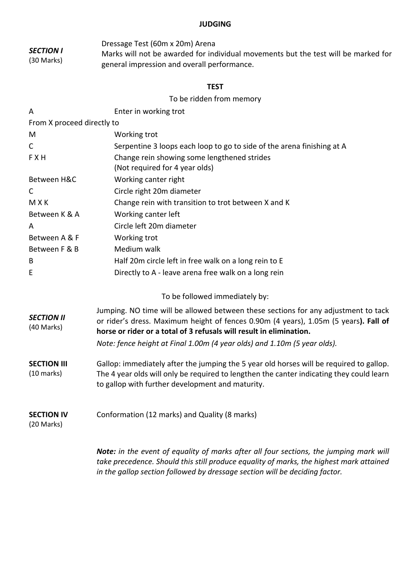#### **JUDGING**

*SECTION I* (30 Marks) Dressage Test (60m x 20m) Arena Marks will not be awarded for individual movements but the test will be marked for general impression and overall performance.

### **TEST**

To be ridden from memory

| A                               | Enter in working trot                                                                    |  |  |
|---------------------------------|------------------------------------------------------------------------------------------|--|--|
| From X proceed directly to      |                                                                                          |  |  |
| M                               | Working trot                                                                             |  |  |
| $\mathsf{C}$                    | Serpentine 3 loops each loop to go to side of the arena finishing at A                   |  |  |
| <b>FXH</b>                      | Change rein showing some lengthened strides                                              |  |  |
|                                 | (Not required for 4 year olds)                                                           |  |  |
| Between H&C                     | Working canter right                                                                     |  |  |
| C                               | Circle right 20m diameter                                                                |  |  |
| <b>MXK</b>                      | Change rein with transition to trot between X and K                                      |  |  |
| Between K & A                   | Working canter left                                                                      |  |  |
| A                               | Circle left 20m diameter                                                                 |  |  |
| Between A & F                   | Working trot                                                                             |  |  |
| Between F & B                   | Medium walk                                                                              |  |  |
| В                               | Half 20m circle left in free walk on a long rein to E                                    |  |  |
| E                               | Directly to A - leave arena free walk on a long rein                                     |  |  |
|                                 |                                                                                          |  |  |
|                                 | To be followed immediately by:                                                           |  |  |
|                                 | Jumping. NO time will be allowed between these sections for any adjustment to tack       |  |  |
| <b>SECTION II</b><br>(40 Marks) | or rider's dress. Maximum height of fences 0.90m (4 years), 1.05m (5 years). Fall of     |  |  |
|                                 | horse or rider or a total of 3 refusals will result in elimination.                      |  |  |
|                                 | Note: fence height at Final 1.00m (4 year olds) and 1.10m (5 year olds).                 |  |  |
| <b>SECTION III</b>              | Gallop: immediately after the jumping the 5 year old horses will be required to gallop.  |  |  |
| $(10 \text{ marks})$            | The 4 year olds will only be required to lengthen the canter indicating they could learn |  |  |
|                                 | to gallop with further development and maturity.                                         |  |  |
|                                 |                                                                                          |  |  |
| <b>SECTION IV</b>               | Conformation (12 marks) and Quality (8 marks)                                            |  |  |
| (20 Marks)                      |                                                                                          |  |  |
|                                 | Note: in the event of equality of marks after all four sections, the jumping mark will   |  |  |
|                                 | take precedence. Should this still produce equality of marks, the highest mark attained  |  |  |

*in the gallop section followed by dressage section will be deciding factor.*